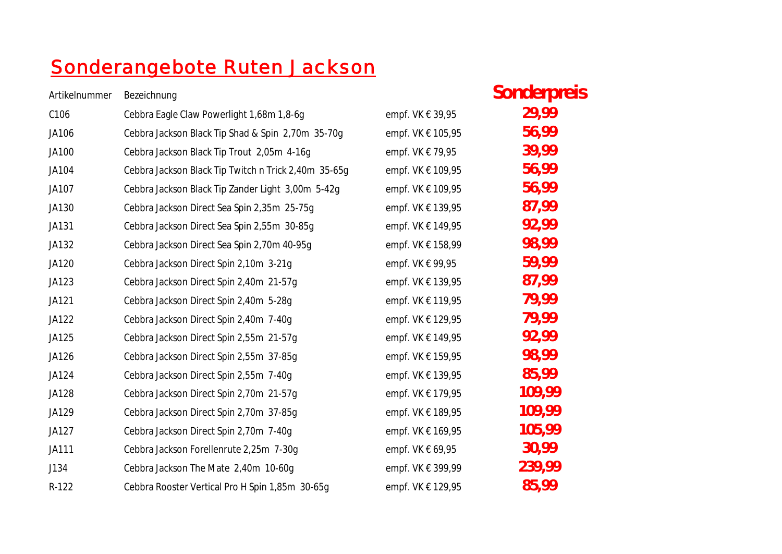## Sonderangebote Ruten Jackson

| Artikelnummer | Bezeichnung                                          |                      | Sonderpreis |
|---------------|------------------------------------------------------|----------------------|-------------|
| C106          | Cebbra Eagle Claw Powerlight 1,68m 1,8-6g            | empf. VK € 39,95     | 29,99       |
| JA106         | Cebbra Jackson Black Tip Shad & Spin 2,70m 35-70g    | empf. VK € 105,95    | 56,99       |
| JA100         | Cebbra Jackson Black Tip Trout 2,05m 4-16g           | empf. VK € 79,95     | 39,99       |
| JA104         | Cebbra Jackson Black Tip Twitch n Trick 2,40m 35-65g | empf. VK € 109,95    | 56,99       |
| JA107         | Cebbra Jackson Black Tip Zander Light 3,00m 5-42g    | empf. VK € 109,95    | 56,99       |
| JA130         | Cebbra Jackson Direct Sea Spin 2,35m 25-75g          | empf. VK € 139,95    | 87,99       |
| JA131         | Cebbra Jackson Direct Sea Spin 2,55m 30-85g          | empf. VK € 149,95    | 92,99       |
| JA132         | Cebbra Jackson Direct Sea Spin 2,70m 40-95q          | empf. VK € 158,99    | 98,99       |
| JA120         | Cebbra Jackson Direct Spin 2,10m 3-21g               | empf. VK € 99,95     | 59,99       |
| JA123         | Cebbra Jackson Direct Spin 2,40m 21-57g              | empf. VK € 139,95    | 87,99       |
| JA121         | Cebbra Jackson Direct Spin 2,40m 5-28q               | empf. VK € 119,95    | 79,99       |
| JA122         | Cebbra Jackson Direct Spin 2,40m 7-40g               | empf. VK € 129,95    | 79,99       |
| JA125         | Cebbra Jackson Direct Spin 2,55m 21-57g              | empf. VK € 149,95    | 92,99       |
| JA126         | Cebbra Jackson Direct Spin 2,55m 37-85g              | empf. VK € 159,95    | 98,99       |
| JA124         | Cebbra Jackson Direct Spin 2,55m 7-40g               | empf. VK € 139,95    | 85,99       |
| JA128         | Cebbra Jackson Direct Spin 2,70m 21-57g              | empf. VK € 179,95    | 109,99      |
| JA129         | Cebbra Jackson Direct Spin 2,70m 37-85g              | empf. VK € 189,95    | 109,99      |
| JA127         | Cebbra Jackson Direct Spin 2,70m 7-40g               | empf. VK € 169,95    | 105,99      |
| JA111         | Cebbra Jackson Forellenrute 2,25m 7-30g              | empf. VK $\in$ 69,95 | 30,99       |
| J134          | Cebbra Jackson The Mate 2,40m 10-60g                 | empf. VK € 399,99    | 239,99      |
| R-122         | Cebbra Rooster Vertical Pro H Spin 1,85m 30-65g      | empf. VK € 129,95    | 85,99       |